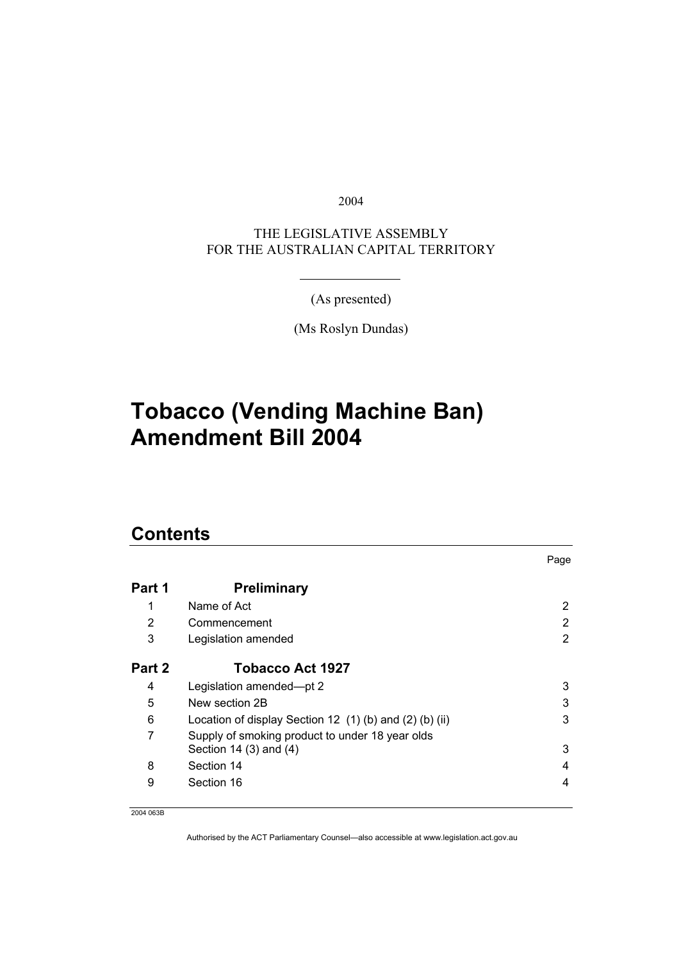2004

THE LEGISLATIVE ASSEMBLY FOR THE AUSTRALIAN CAPITAL TERRITORY

(As presented)

(Ms Roslyn Dundas)

# **Tobacco (Vending Machine Ban) Amendment Bill 2004**

## **Contents**

| Part 1 | <b>Preliminary</b>                                      |   |
|--------|---------------------------------------------------------|---|
| 1      | Name of Act                                             | 2 |
| 2      | Commencement                                            | 2 |
| 3      | Legislation amended                                     | 2 |
| Part 2 | <b>Tobacco Act 1927</b>                                 |   |
| 4      | Legislation amended-pt 2                                | 3 |
| 5      | New section 2B                                          | 3 |
| 6      | Location of display Section 12 (1) (b) and (2) (b) (ii) | 3 |
| 7      | Supply of smoking product to under 18 year olds         |   |
|        | Section 14 $(3)$ and $(4)$                              | 3 |
| 8      | Section 14                                              | 4 |
| 9      | Section 16                                              | 4 |

Page

2004 063B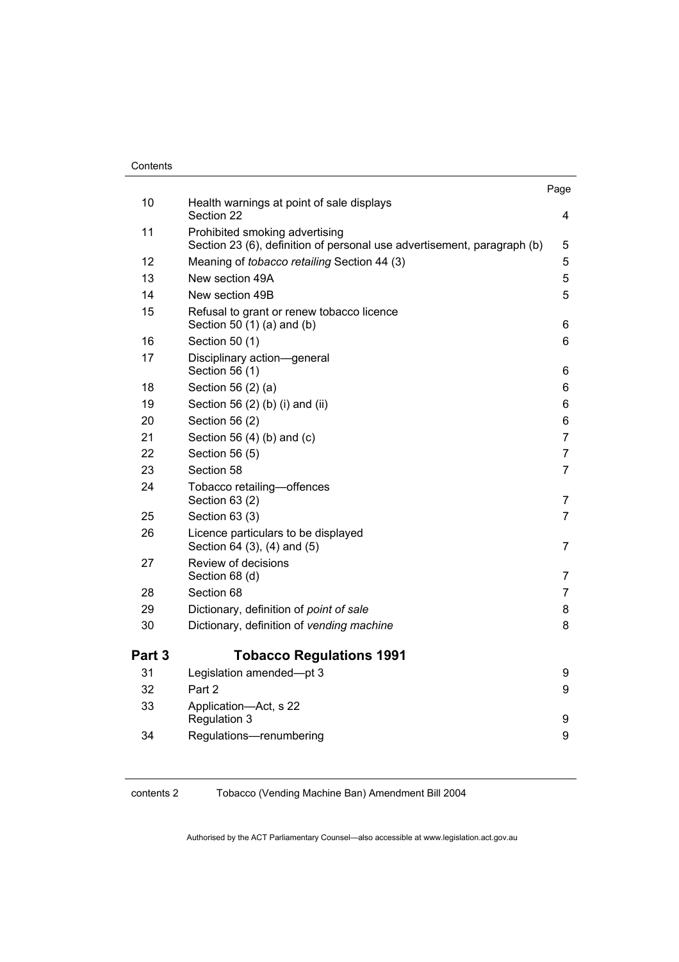#### **Contents**

|        |                                                                                                           | Page           |
|--------|-----------------------------------------------------------------------------------------------------------|----------------|
| 10     | Health warnings at point of sale displays<br>Section 22                                                   | 4              |
| 11     | Prohibited smoking advertising<br>Section 23 (6), definition of personal use advertisement, paragraph (b) | 5              |
| 12     | Meaning of tobacco retailing Section 44 (3)                                                               | 5              |
| 13     | New section 49A                                                                                           | 5              |
| 14     | New section 49B                                                                                           | 5              |
| 15     | Refusal to grant or renew tobacco licence<br>Section 50 (1) (a) and (b)                                   | 6              |
| 16     | Section 50 (1)                                                                                            | 6              |
| 17     | Disciplinary action-general<br>Section 56 (1)                                                             | 6              |
| 18     | Section 56 (2) (a)                                                                                        | 6              |
| 19     | Section 56 (2) (b) (i) and (ii)                                                                           | 6              |
| 20     | Section 56 (2)                                                                                            | 6              |
| 21     | Section 56 $(4)$ $(b)$ and $(c)$                                                                          | $\overline{7}$ |
| 22     | Section 56 (5)                                                                                            | $\overline{7}$ |
| 23     | Section 58                                                                                                | $\overline{7}$ |
| 24     | Tobacco retailing-offences<br>Section 63 (2)                                                              | 7              |
| 25     | Section 63 (3)                                                                                            | $\overline{7}$ |
| 26     | Licence particulars to be displayed<br>Section 64 (3), (4) and (5)                                        | $\overline{7}$ |
| 27     | Review of decisions<br>Section 68 (d)                                                                     | 7              |
| 28     | Section 68                                                                                                | $\overline{7}$ |
| 29     | Dictionary, definition of point of sale                                                                   | 8              |
| 30     | Dictionary, definition of vending machine                                                                 | 8              |
| Part 3 | <b>Tobacco Regulations 1991</b>                                                                           |                |
| 31     | Legislation amended-pt 3                                                                                  | 9              |
| 32     | Part 2                                                                                                    | 9              |
| 33     | Application-Act, s 22                                                                                     |                |
|        | Regulation 3                                                                                              | 9              |
| 34     | Regulations-renumbering                                                                                   | 9              |
|        |                                                                                                           |                |

#### contents 2 Tobacco (Vending Machine Ban) Amendment Bill 2004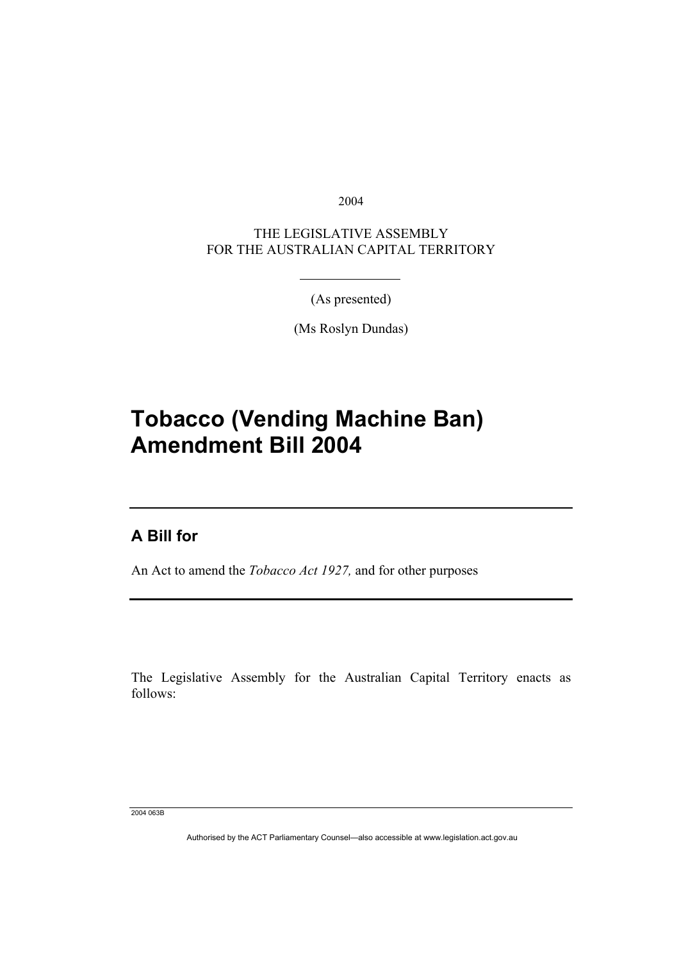2004

THE LEGISLATIVE ASSEMBLY FOR THE AUSTRALIAN CAPITAL TERRITORY

(As presented)

(Ms Roslyn Dundas)

# **Tobacco (Vending Machine Ban) Amendment Bill 2004**

## **A Bill for**

I

An Act to amend the *Tobacco Act 1927,* and for other purposes

The Legislative Assembly for the Australian Capital Territory enacts as follows:

2004 063B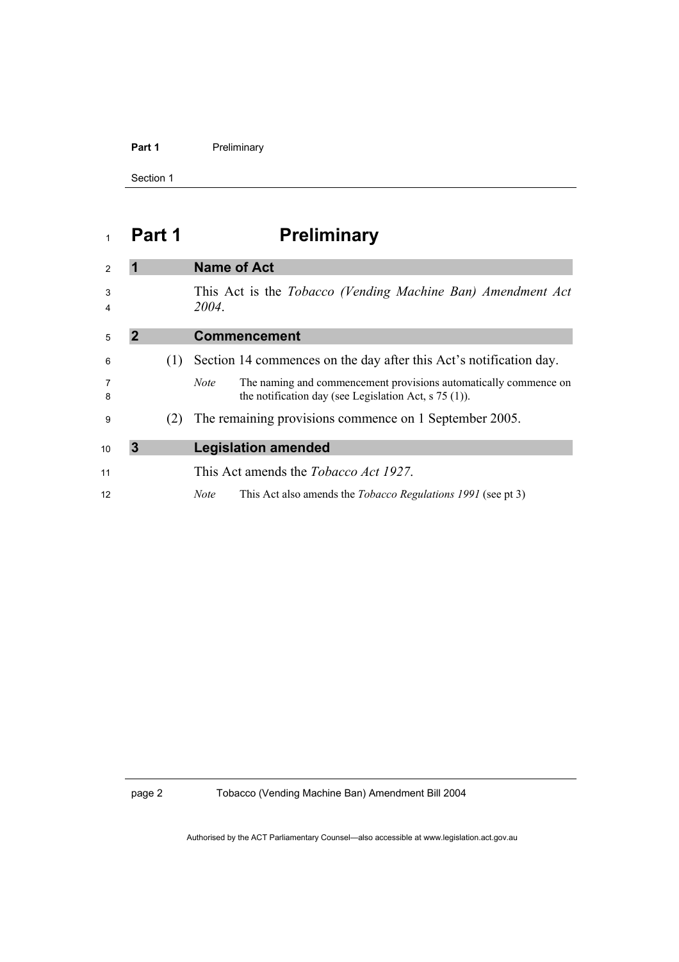## Part 1 **Preliminary**

Section 1

# **Part 1 Preliminary**

| $\mathcal{P}$ |   |     | <b>Name of Act</b>                                                                                                                              |
|---------------|---|-----|-------------------------------------------------------------------------------------------------------------------------------------------------|
| 3<br>4        |   |     | This Act is the Tobacco (Vending Machine Ban) Amendment Act<br>2004.                                                                            |
| 5             |   |     | <b>Commencement</b>                                                                                                                             |
| 6             |   | (1) | Section 14 commences on the day after this Act's notification day.                                                                              |
| 7<br>8        |   |     | The naming and commencement provisions automatically commence on<br><i>Note</i><br>the notification day (see Legislation Act, $\sigma$ 75 (1)). |
| 9             |   | (2) | The remaining provisions commence on 1 September 2005.                                                                                          |
| 10            | 3 |     | <b>Legislation amended</b>                                                                                                                      |
| 11            |   |     | This Act amends the <i>Tobacco Act 1927</i> .                                                                                                   |
| 12            |   |     | This Act also amends the <i>Tobacco Regulations 1991</i> (see pt 3)<br><i>Note</i>                                                              |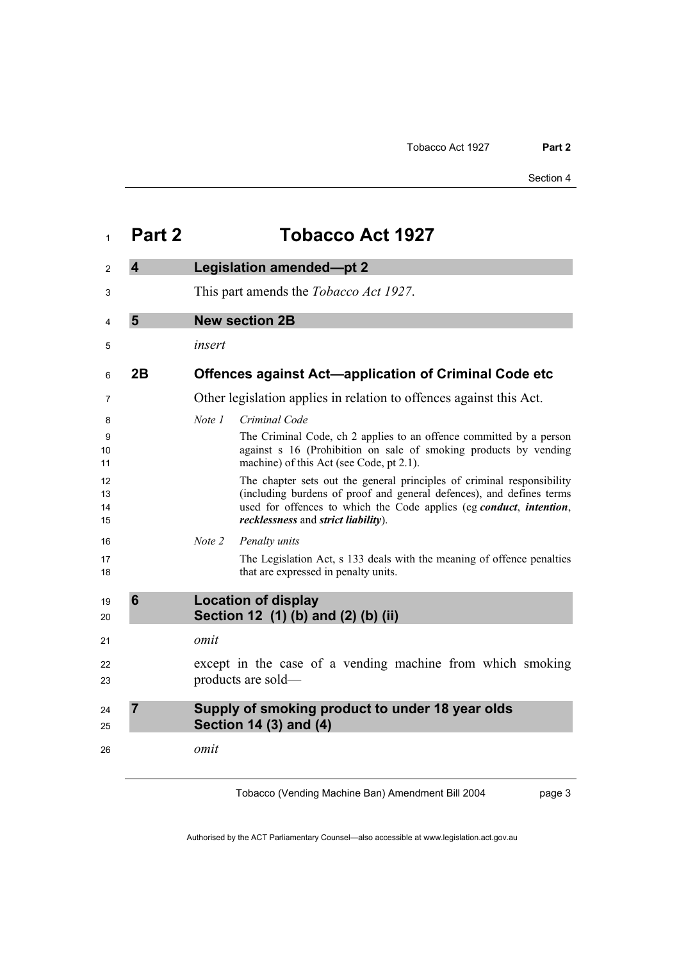| 1                    | Part 2                  | <b>Tobacco Act 1927</b>                                                                                                                                                                                                                                      |
|----------------------|-------------------------|--------------------------------------------------------------------------------------------------------------------------------------------------------------------------------------------------------------------------------------------------------------|
| $\mathcal{P}$        | $\overline{\mathbf{4}}$ | <b>Legislation amended-pt 2</b>                                                                                                                                                                                                                              |
| 3                    |                         | This part amends the <i>Tobacco Act 1927</i> .                                                                                                                                                                                                               |
| 4                    | 5                       | <b>New section 2B</b>                                                                                                                                                                                                                                        |
| 5                    |                         | insert                                                                                                                                                                                                                                                       |
| 6                    | 2B                      | <b>Offences against Act—application of Criminal Code etc</b>                                                                                                                                                                                                 |
| 7                    |                         | Other legislation applies in relation to offences against this Act.                                                                                                                                                                                          |
| 8<br>9<br>10<br>11   |                         | Note 1<br>Criminal Code<br>The Criminal Code, ch 2 applies to an offence committed by a person<br>against s 16 (Prohibition on sale of smoking products by vending<br>machine) of this Act (see Code, pt 2.1).                                               |
| 12<br>13<br>14<br>15 |                         | The chapter sets out the general principles of criminal responsibility<br>(including burdens of proof and general defences), and defines terms<br>used for offences to which the Code applies (eg conduct, intention,<br>recklessness and strict liability). |
| 16                   |                         | Note 2<br>Penalty units                                                                                                                                                                                                                                      |
| 17<br>18             |                         | The Legislation Act, s 133 deals with the meaning of offence penalties<br>that are expressed in penalty units.                                                                                                                                               |
| 19<br>20             | $6\phantom{1}6$         | <b>Location of display</b><br>Section 12 (1) (b) and (2) (b) (ii)                                                                                                                                                                                            |
| 21                   |                         | omit                                                                                                                                                                                                                                                         |
| 22<br>23             |                         | except in the case of a vending machine from which smoking<br>products are sold—                                                                                                                                                                             |
| 24<br>25             | $\overline{7}$          | Supply of smoking product to under 18 year olds<br>Section 14 (3) and (4)                                                                                                                                                                                    |
| 26                   |                         | omit                                                                                                                                                                                                                                                         |

Tobacco (Vending Machine Ban) Amendment Bill 2004

page 3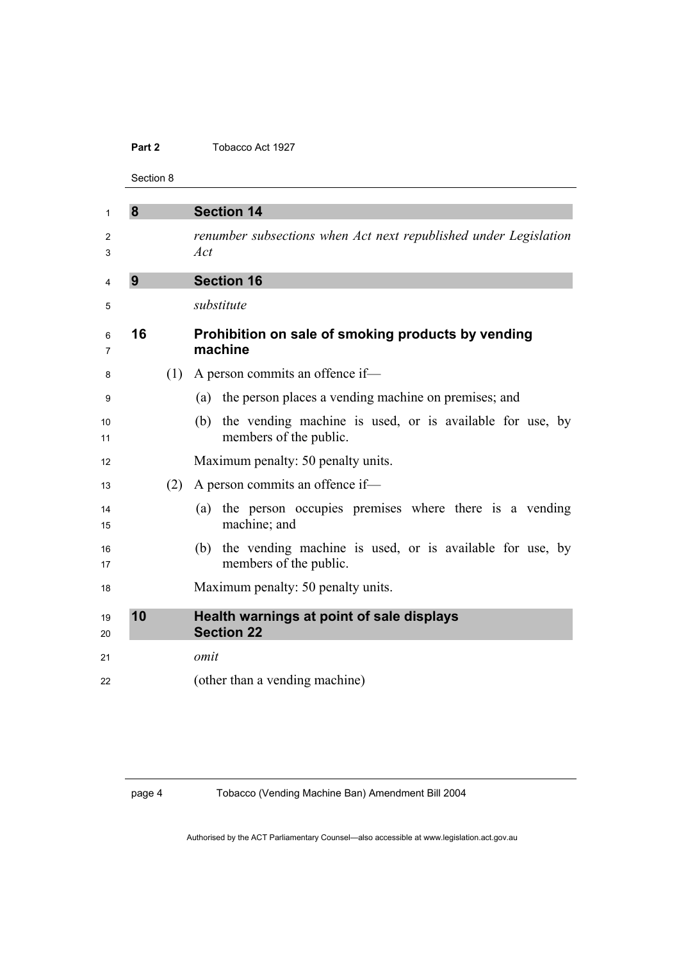#### **Part 2** Tobacco Act 1927

Section 8

| 1        | 8  |     | <b>Section 14</b>                                                                         |
|----------|----|-----|-------------------------------------------------------------------------------------------|
| 2<br>3   |    |     | renumber subsections when Act next republished under Legislation<br>Act                   |
| 4        | 9  |     | <b>Section 16</b>                                                                         |
| 5        |    |     | substitute                                                                                |
| 6<br>7   | 16 |     | Prohibition on sale of smoking products by vending<br>machine                             |
| 8        |    | (1) | A person commits an offence if-                                                           |
| 9        |    |     | (a) the person places a vending machine on premises; and                                  |
| 10<br>11 |    |     | the vending machine is used, or is available for use, by<br>(b)<br>members of the public. |
| 12       |    |     | Maximum penalty: 50 penalty units.                                                        |
| 13       |    | (2) | A person commits an offence if-                                                           |
| 14<br>15 |    |     | (a) the person occupies premises where there is a vending<br>machine; and                 |
| 16<br>17 |    |     | (b) the vending machine is used, or is available for use, by<br>members of the public.    |
| 18       |    |     | Maximum penalty: 50 penalty units.                                                        |
| 19<br>20 | 10 |     | Health warnings at point of sale displays<br><b>Section 22</b>                            |
| 21       |    |     | omit                                                                                      |
| 22       |    |     | (other than a vending machine)                                                            |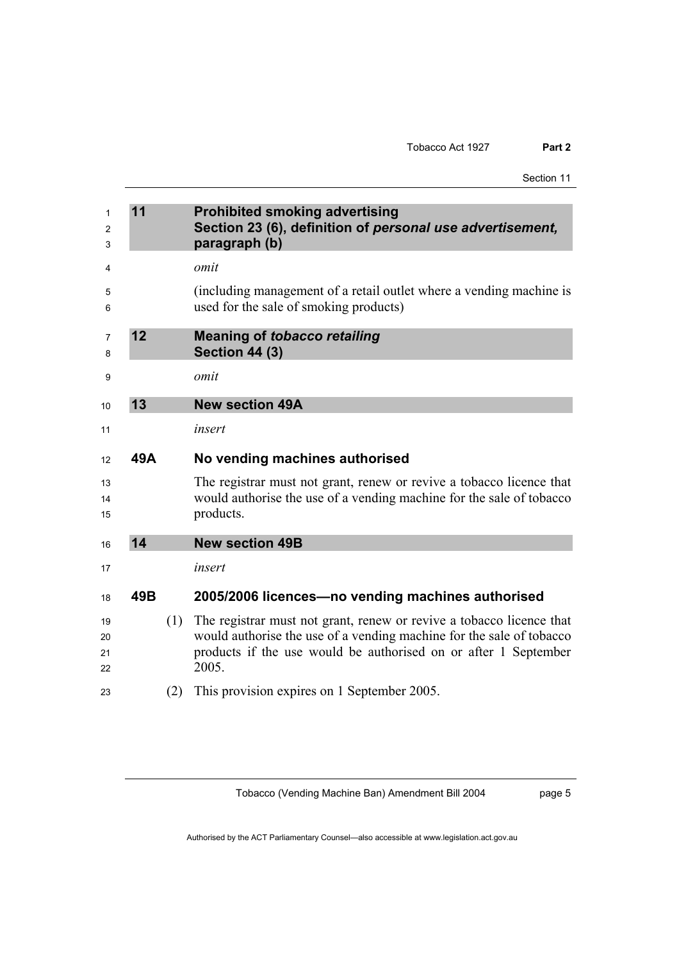| 1              | 11  |     | <b>Prohibited smoking advertising</b>                                                                                                                     |
|----------------|-----|-----|-----------------------------------------------------------------------------------------------------------------------------------------------------------|
| 2              |     |     | Section 23 (6), definition of personal use advertisement,                                                                                                 |
| 3              |     |     | paragraph (b)                                                                                                                                             |
| 4              |     |     | omit                                                                                                                                                      |
| 5              |     |     | (including management of a retail outlet where a vending machine is                                                                                       |
| 6              |     |     | used for the sale of smoking products)                                                                                                                    |
| 7<br>8         | 12  |     | <b>Meaning of tobacco retailing</b><br><b>Section 44 (3)</b>                                                                                              |
| 9              |     |     | omit                                                                                                                                                      |
| 10             | 13  |     | <b>New section 49A</b>                                                                                                                                    |
| 11             |     |     | insert                                                                                                                                                    |
| 12             | 49A |     | No vending machines authorised                                                                                                                            |
| 13<br>14<br>15 |     |     | The registrar must not grant, renew or revive a tobacco licence that<br>would authorise the use of a vending machine for the sale of tobacco<br>products. |
| 16             | 14  |     | <b>New section 49B</b>                                                                                                                                    |
| 17             |     |     | insert                                                                                                                                                    |
| 18             | 49B |     | 2005/2006 licences-no vending machines authorised                                                                                                         |
| 19             |     | (1) | The registrar must not grant, renew or revive a tobacco licence that                                                                                      |
| 20             |     |     | would authorise the use of a vending machine for the sale of tobacco                                                                                      |
| 21             |     |     | products if the use would be authorised on or after 1 September                                                                                           |
| 22             |     |     | 2005.                                                                                                                                                     |
| 23             |     | (2) | This provision expires on 1 September 2005.                                                                                                               |
|                |     |     |                                                                                                                                                           |

Tobacco (Vending Machine Ban) Amendment Bill 2004

page 5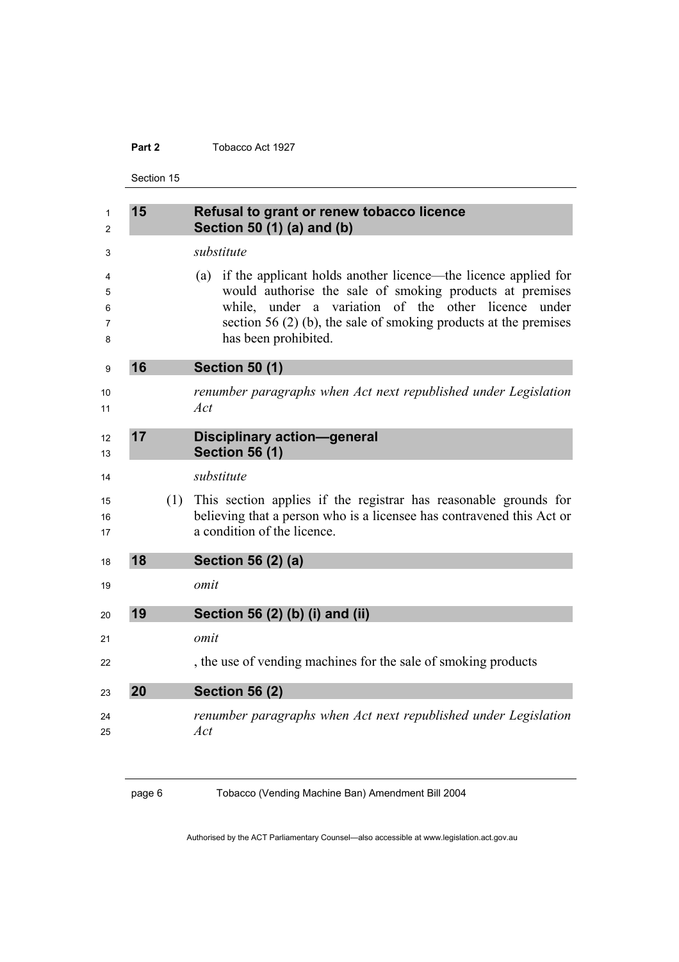## **Part 2** Tobacco Act 1927

Section 15

| 1<br>2                | 15 |     | Refusal to grant or renew tobacco licence<br>Section 50 (1) (a) and (b)                                                                                                                                                                                                                   |
|-----------------------|----|-----|-------------------------------------------------------------------------------------------------------------------------------------------------------------------------------------------------------------------------------------------------------------------------------------------|
| 3                     |    |     | substitute                                                                                                                                                                                                                                                                                |
| 4<br>5<br>6<br>7<br>8 |    |     | if the applicant holds another licence—the licence applied for<br>(a)<br>would authorise the sale of smoking products at premises<br>while, under a variation of the other licence<br>under<br>section 56 $(2)$ (b), the sale of smoking products at the premises<br>has been prohibited. |
| 9                     | 16 |     | <b>Section 50 (1)</b>                                                                                                                                                                                                                                                                     |
| 10<br>11              |    |     | renumber paragraphs when Act next republished under Legislation<br>Act                                                                                                                                                                                                                    |
| 12<br>13              | 17 |     | <b>Disciplinary action-general</b><br><b>Section 56 (1)</b>                                                                                                                                                                                                                               |
| 14                    |    |     | substitute                                                                                                                                                                                                                                                                                |
| 15<br>16<br>17        |    | (1) | This section applies if the registrar has reasonable grounds for<br>believing that a person who is a licensee has contravened this Act or<br>a condition of the licence.                                                                                                                  |
| 18                    | 18 |     | Section 56 (2) (a)                                                                                                                                                                                                                                                                        |
| 19                    |    |     | omit                                                                                                                                                                                                                                                                                      |
| 20                    | 19 |     | Section 56 (2) (b) (i) and (ii)                                                                                                                                                                                                                                                           |
| 21                    |    |     | omit                                                                                                                                                                                                                                                                                      |
| 22                    |    |     | , the use of vending machines for the sale of smoking products                                                                                                                                                                                                                            |
| 23                    | 20 |     | <b>Section 56 (2)</b>                                                                                                                                                                                                                                                                     |
| 24<br>25              |    |     | renumber paragraphs when Act next republished under Legislation<br>Act                                                                                                                                                                                                                    |

page 6 Tobacco (Vending Machine Ban) Amendment Bill 2004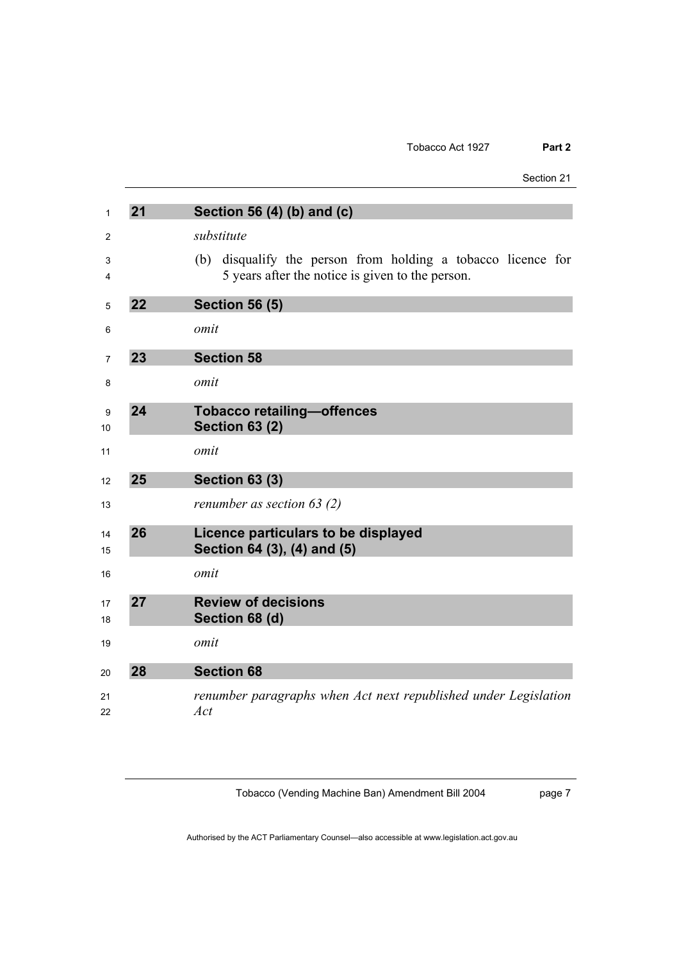| Section 21 |  |
|------------|--|
|------------|--|

| 21 | Section 56 (4) (b) and (c)                                                                                          |
|----|---------------------------------------------------------------------------------------------------------------------|
|    | substitute                                                                                                          |
|    | disqualify the person from holding a tobacco licence for<br>(b)<br>5 years after the notice is given to the person. |
| 22 | <b>Section 56 (5)</b>                                                                                               |
|    | omit                                                                                                                |
| 23 | <b>Section 58</b>                                                                                                   |
|    | omit                                                                                                                |
| 24 | <b>Tobacco retailing-offences</b><br><b>Section 63 (2)</b>                                                          |
|    | omit                                                                                                                |
| 25 | <b>Section 63 (3)</b>                                                                                               |
|    | renumber as section $63(2)$                                                                                         |
| 26 | Licence particulars to be displayed<br>Section 64 (3), (4) and (5)                                                  |
|    | omit                                                                                                                |
| 27 | <b>Review of decisions</b><br>Section 68 (d)                                                                        |
|    | omit                                                                                                                |
| 28 | <b>Section 68</b>                                                                                                   |
|    | renumber paragraphs when Act next republished under Legislation<br>Act                                              |

Tobacco (Vending Machine Ban) Amendment Bill 2004

page 7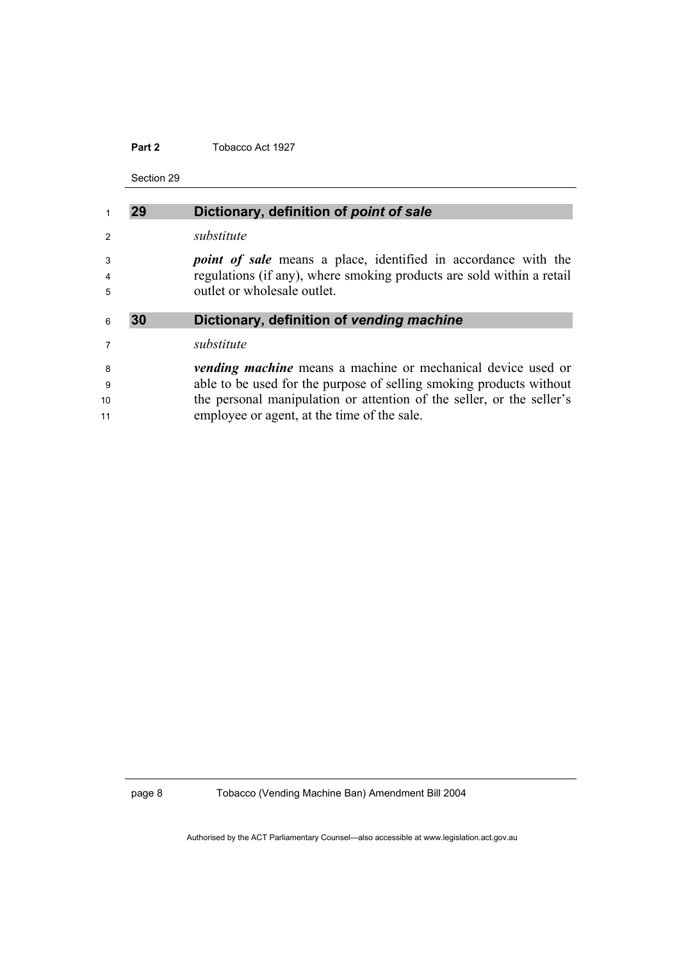## **Part 2** Tobacco Act 1927

Section 29

|               | 29 | Dictionary, definition of point of sale                               |
|---------------|----|-----------------------------------------------------------------------|
| $\mathcal{P}$ |    | substitute                                                            |
| 3             |    | <i>point of sale</i> means a place, identified in accordance with the |
| 4             |    | regulations (if any), where smoking products are sold within a retail |
| 5             |    | outlet or wholesale outlet.                                           |
|               |    |                                                                       |
| 6             | 30 | Dictionary, definition of vending machine                             |
|               |    |                                                                       |
| 7             |    | substitute                                                            |
| 8             |    | <i>vending machine</i> means a machine or mechanical device used or   |
| 9             |    | able to be used for the purpose of selling smoking products without   |
| 10            |    | the personal manipulation or attention of the seller, or the seller's |